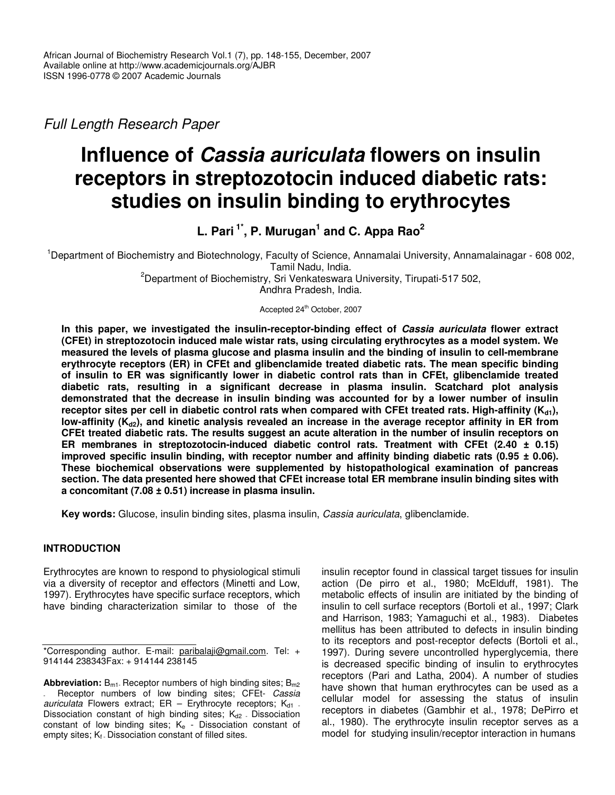*Full Length Research Paper*

# **Influence of** *Cassia auriculata* **flowers on insulin receptors in streptozotocin induced diabetic rats: studies on insulin binding to erythrocytes**

**L. Pari 1\* , P. Murugan 1 and C. Appa Rao 2**

<sup>1</sup>Department of Biochemistry and Biotechnology, Faculty of Science, Annamalai University, Annamalainagar - 608 002, Tamil Nadu, India.

> <sup>2</sup>Department of Biochemistry, Sri Venkateswara University, Tirupati-517 502, Andhra Pradesh, India.

Accepted 24<sup>th</sup> October, 2007

**In this paper, we investigated the insulin-receptor-binding effect of** *Cassia auriculata* **flower extract (CFEt) in streptozotocin induced male wistar rats, using circulating erythrocytes as a model system. We measured the levels of plasma glucose and plasma insulin and the binding of insulin to cell-membrane erythrocyte receptors (ER) in CFEt and glibenclamide treated diabetic rats. The mean specific binding of insulin to ER was significantly lower in diabetic control rats than in CFEt, glibenclamide treated diabetic rats, resulting in a significant decrease in plasma insulin. Scatchard plot analysis demonstrated that the decrease in insulin binding was accounted for by a lower number of insulin** receptor sites per cell in diabetic control rats when compared with CFEt treated rats. High-affinity  $(K_{d1})$ , low-affinity ( $K_{d2}$ ), and kinetic analysis revealed an increase in the average receptor affinity in ER from **CFEt treated diabetic rats. The results suggest an acute alteration in the number of insulin receptors on ER membranes in streptozotocin-induced diabetic control rats. Treatment with CFEt (2.40 ± 0.15) improved specific insulin binding, with receptor number and affinity binding diabetic rats (0.95 ± 0.06). These biochemical observations were supplemented by histopathological examination of pancreas section. The data presented here showed that CFEt increase total ER membrane insulin binding sites with a concomitant (7.08 ± 0.51) increase in plasma insulin.**

**Key words:** Glucose, insulin binding sites, plasma insulin, *Cassia auriculata*, glibenclamide.

# **INTRODUCTION**

Erythrocytes are known to respond to physiological stimuli via a diversity of receptor and effectors (Minetti and Low, 1997). Erythrocytes have specific surface receptors, which have binding characterization similar to those of the

insulin receptor found in classical target tissues for insulin action (De pirro et al., 1980; McElduff, 1981). The metabolic effects of insulin are initiated by the binding of insulin to cell surface receptors (Bortoli et al., 1997; Clark and Harrison, 1983; Yamaguchi et al., 1983). Diabetes mellitus has been attributed to defects in insulin binding to its receptors and post-receptor defects (Bortoli et al., 1997). During severe uncontrolled hyperglycemia, there is decreased specific binding of insulin to erythrocytes receptors (Pari and Latha, 2004). A number of studies have shown that human erythrocytes can be used as a cellular model for assessing the status of insulin receptors in diabetes (Gambhir et al., 1978; DePirro et al., 1980). The erythrocyte insulin receptor serves as a model for studying insulin/receptor interaction in humans

<sup>\*</sup>Corresponding author. E-mail: paribalaji@gmail.com. Tel: + 914144 238343Fax: + 914144 238145

**Abbreviation:** B<sub>m1</sub>. Receptor numbers of high binding sites; B<sub>m2</sub> - Receptor numbers of low binding sites; CFEt- *Cassia auriculata* Flowers extract; ER - Erythrocyte receptors; K<sub>d1</sub> -Dissociation constant of high binding sites;  $K_{d2}$  - Dissociation constant of low binding sites;  $K_e$  - Dissociation constant of empty sites;  $K_f$ . Dissociation constant of filled sites.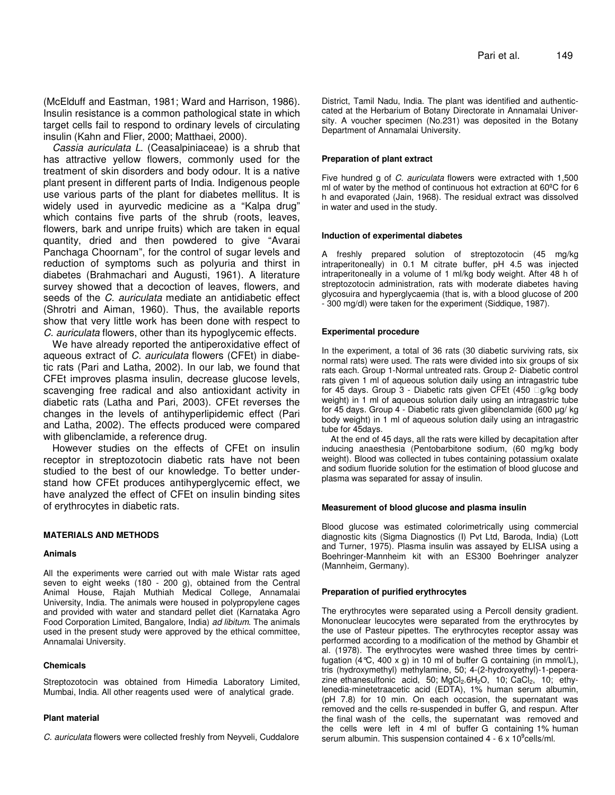(McElduff and Eastman, 1981; Ward and Harrison, 1986). Insulin resistance is a common pathological state in which target cells fail to respond to ordinary levels of circulating insulin (Kahn and Flier, 2000; Matthaei, 2000).

*Cassia auriculata L*. (Ceasalpiniaceae) is a shrub that has attractive yellow flowers, commonly used for the treatment of skin disorders and body odour. It is a native plant present in different parts of India. Indigenous people use various parts of the plant for diabetes mellitus. It is widely used in ayurvedic medicine as a "Kalpa drug" which contains five parts of the shrub (roots, leaves, flowers, bark and unripe fruits) which are taken in equal quantity, dried and then powdered to give "Avarai Panchaga Choornam", for the control of sugar levels and reduction of symptoms such as polyuria and thirst in diabetes (Brahmachari and Augusti, 1961). A literature survey showed that a decoction of leaves, flowers, and seeds of the *C. auriculata* mediate an antidiabetic effect (Shrotri and Aiman, 1960). Thus, the available reports show that very little work has been done with respect to *C. auriculata* flowers, other than its hypoglycemic effects.

We have already reported the antiperoxidative effect of aqueous extract of *C. auriculata* flowers (CFEt) in diabetic rats (Pari and Latha, 2002). In our lab, we found that CFEt improves plasma insulin, decrease glucose levels, scavenging free radical and also antioxidant activity in diabetic rats (Latha and Pari, 2003). CFEt reverses the changes in the levels of antihyperlipidemic effect (Pari and Latha, 2002). The effects produced were compared with glibenclamide, a reference drug.

However studies on the effects of CFEt on insulin receptor in streptozotocin diabetic rats have not been studied to the best of our knowledge. To better understand how CFEt produces antihyperglycemic effect, we have analyzed the effect of CFEt on insulin binding sites of erythrocytes in diabetic rats.

## **MATERIALS AND METHODS**

#### **Animals**

All the experiments were carried out with male Wistar rats aged seven to eight weeks (180 - 200 g), obtained from the Central Animal House, Rajah Muthiah Medical College, Annamalai University, India. The animals were housed in polypropylene cages and provided with water and standard pellet diet (Karnataka Agro Food Corporation Limited, Bangalore, India) *ad libitum*. The animals used in the present study were approved by the ethical committee, Annamalai University.

## **Chemicals**

Streptozotocin was obtained from Himedia Laboratory Limited, Mumbai, India. All other reagents used were of analytical grade.

## **Plant material**

*C. auriculata* flowers were collected freshly from Neyveli, Cuddalore

District, Tamil Nadu, India. The plant was identified and authenticcated at the Herbarium of Botany Directorate in Annamalai University. A voucher specimen (No.231) was deposited in the Botany Department of Annamalai University.

## **Preparation of plant extract**

Five hundred g of *C. auriculata* flowers were extracted with 1,500 ml of water by the method of continuous hot extraction at 60ºC for 6 h and evaporated (Jain, 1968). The residual extract was dissolved in water and used in the study.

#### **Induction of experimental diabetes**

A freshly prepared solution of streptozotocin (45 mg/kg intraperitoneally) in 0.1 M citrate buffer, pH 4.5 was injected intraperitoneally in a volume of 1 ml/kg body weight. After 48 h of streptozotocin administration, rats with moderate diabetes having glycosuira and hyperglycaemia (that is, with a blood glucose of 200 - 300 mg/dl) were taken for the experiment (Siddique, 1987).

#### **Experimental procedure**

In the experiment, a total of 36 rats (30 diabetic surviving rats, six normal rats) were used. The rats were divided into six groups of six rats each. Group 1-Normal untreated rats. Group 2- Diabetic control rats given 1 ml of aqueous solution daily using an intragastric tube for 45 days. Group 3 - Diabetic rats given CFEt (450 g/kg body weight) in 1 ml of aqueous solution daily using an intragastric tube for 45 days. Group 4 - Diabetic rats given glibenclamide (600 µg/ kg body weight) in 1 ml of aqueous solution daily using an intragastric tube for 45days.

At the end of 45 days, all the rats were killed by decapitation after inducing anaesthesia (Pentobarbitone sodium, (60 mg/kg body weight). Blood was collected in tubes containing potassium oxalate and sodium fluoride solution for the estimation of blood glucose and plasma was separated for assay of insulin.

#### **Measurement of blood glucose and plasma insulin**

Blood glucose was estimated colorimetrically using commercial diagnostic kits (Sigma Diagnostics (I) Pvt Ltd, Baroda, India) (Lott and Turner, 1975). Plasma insulin was assayed by ELISA using a Boehringer-Mannheim kit with an ES300 Boehringer analyzer (Mannheim, Germany).

## **Preparation of purified erythrocytes**

The erythrocytes were separated using a Percoll density gradient. Mononuclear leucocytes were separated from the erythrocytes by the use of Pasteur pipettes. The erythrocytes receptor assay was performed according to a modification of the method by Ghambir et al. (1978). The erythrocytes were washed three times by centrifugation  $(4^{\circ}C, 400 \times g)$  in 10 ml of buffer G containing (in mmol/L), tris (hydroxymethyl) methylamine, 50; 4-(2-hydroxyethyl)-1-peperazine ethanesulfonic acid, 50;  $MgCl<sub>2</sub>.6H<sub>2</sub>O$ , 10; CaCl<sub>2</sub>, 10; ethylenedia-minetetraacetic acid (EDTA), 1% human serum albumin, (pH 7.8) for 10 min. On each occasion, the supernatant was removed and the cells re-suspended in buffer G, and respun. After the final wash of the cells, the supernatant was removed and the cells were left in 4 ml of buffer G containing 1% human serum albumin. This suspension contained  $4 - 6 \times 10^9$ cells/ml.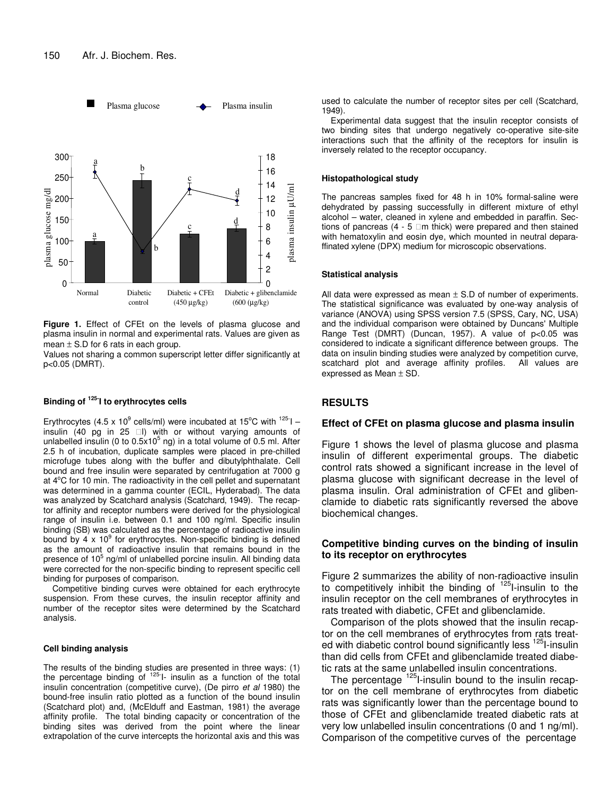

**Figure 1.** Effect of CFEt on the levels of plasma glucose and plasma insulin in normal and experimental rats. Values are given as mean  $\pm$  S.D for 6 rats in each group.

Values not sharing a common superscript letter differ significantly at p<0.05 (DMRT).

## **Binding of 125- I to erythrocytes cells**

Erythrocytes (4.5 x 10<sup>9</sup> cells/ml) were incubated at 15°C with  $125$ -I insulin (40 pg in 25 l) with or without varying amounts of unlabelled insulin (0 to 0.5x10<sup>5</sup> ng) in a total volume of 0.5 ml. After 2.5 h of incubation, duplicate samples were placed in pre-chilled microfuge tubes along with the buffer and dibutylphthalate. Cell bound and free insulin were separated by centrifugation at 7000 g at 4°C for 10 min. The radioactivity in the cell pellet and supernatant was determined in a gamma counter (ECIL, Hyderabad). The data was analyzed by Scatchard analysis (Scatchard, 1949). The recaptor affinity and receptor numbers were derived for the physiological range of insulin i.e. between 0.1 and 100 ng/ml. Specific insulin binding (SB) was calculated as the percentage of radioactive insulin bound by 4 x  $10^9$  for erythrocytes. Non-specific binding is defined as the amount of radioactive insulin that remains bound in the presence of 10<sup>5</sup> ng/ml of unlabelled porcine insulin. All binding data were corrected for the non-specific binding to represent specific cell binding for purposes of comparison.

Competitive binding curves were obtained for each erythrocyte suspension. From these curves, the insulin receptor affinity and number of the receptor sites were determined by the Scatchard analysis.

#### **Cell binding analysis**

The results of the binding studies are presented in three ways: (1) the percentage binding of <sup>125-</sup>I- insulin as a function of the total insulin concentration (competitive curve), (De pirro *et al* 1980) the bound-free insulin ratio plotted as a function of the bound insulin (Scatchard plot) and, (McElduff and Eastman, 1981) the average affinity profile. The total binding capacity or concentration of the binding sites was derived from the point where the linear extrapolation of the curve intercepts the horizontal axis and this was

used to calculate the number of receptor sites per cell (Scatchard, 1949).

Experimental data suggest that the insulin receptor consists of two binding sites that undergo negatively co-operative site-site interactions such that the affinity of the receptors for insulin is inversely related to the receptor occupancy.

#### **Histopathological study**

The pancreas samples fixed for 48 h in 10% formal-saline were dehydrated by passing successfully in different mixture of ethyl alcohol – water, cleaned in xylene and embedded in paraffin. Sections of pancreas (4 - 5 m thick) were prepared and then stained with hematoxylin and eosin dye, which mounted in neutral deparaffinated xylene (DPX) medium for microscopic observations.

#### **Statistical analysis**

All data were expressed as mean  $\pm$  S.D of number of experiments. The statistical significance was evaluated by one-way analysis of variance (ANOVA) using SPSS version 7.5 (SPSS, Cary, NC, USA) and the individual comparison were obtained by Duncans' Multiple Range Test (DMRT) (Duncan, 1957). A value of p<0.05 was considered to indicate a significant difference between groups. The data on insulin binding studies were analyzed by competition curve, scatchard plot and average affinity profiles. All values are expressed as Mean  $\pm$  SD.

# **RESULTS**

## **Effect of CFEt on plasma glucose and plasma insulin**

Figure 1 shows the level of plasma glucose and plasma insulin of different experimental groups. The diabetic control rats showed a significant increase in the level of plasma glucose with significant decrease in the level of plasma insulin. Oral administration of CFEt and glibenclamide to diabetic rats significantly reversed the above biochemical changes.

# **Competitive binding curves on the binding of insulin to its receptor on erythrocytes**

Figure 2 summarizes the ability of non-radioactive insulin to competitively inhibit the binding of <sup>125</sup>I-insulin to the insulin receptor on the cell membranes of erythrocytes in rats treated with diabetic, CFEt and glibenclamide.

Comparison of the plots showed that the insulin recaptor on the cell membranes of erythrocytes from rats treated with diabetic control bound significantly less <sup>125</sup>l-insulin than did cells from CFEt and glibenclamide treated diabetic rats at the same unlabelled insulin concentrations.

The percentage <sup>125</sup>I-insulin bound to the insulin recaptor on the cell membrane of erythrocytes from diabetic rats was significantly lower than the percentage bound to those of CFEt and glibenclamide treated diabetic rats at very low unlabelled insulin concentrations (0 and 1 ng/ml). Comparison of the competitive curves of the percentage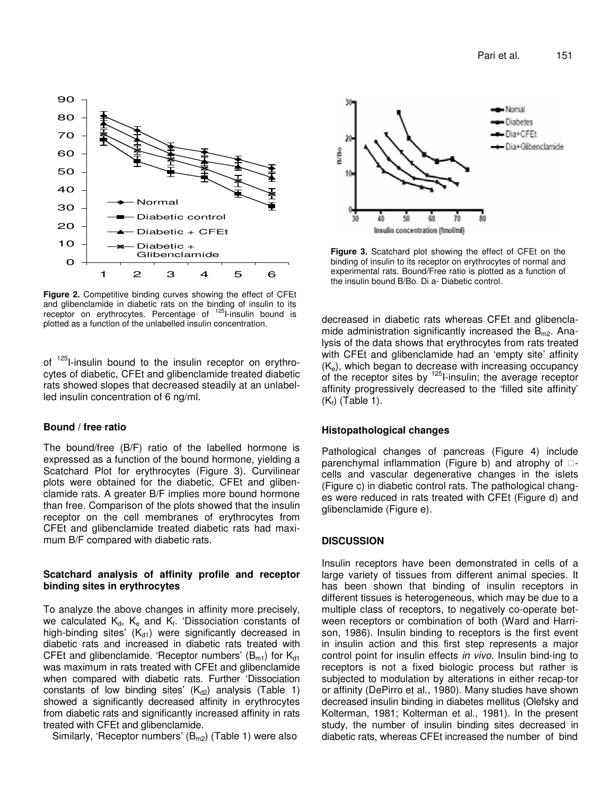

**Figure 2.** Competitive binding curves showing the effect of CFEt and glibenclamide in diabetic rats on the binding of insulin to its receptor on erythrocytes. Percentage of <sup>125</sup>I-insulin bound is plotted as a function of the unlabelled insulin concentration.

of <sup>125</sup>I-insulin bound to the insulin receptor on erythrocytes of diabetic, CFEt and glibenclamide treated diabetic rats showed slopes that decreased steadily at an unlabelled insulin concentration of 6 ng/ml.

# **Bound / free ratio**

The bound/free (B/F) ratio of the labelled hormone is expressed as a function of the bound hormone, yielding a Scatchard Plot for erythrocytes (Figure 3). Curvilinear plots were obtained for the diabetic, CFEt and glibenclamide rats. A greater B/F implies more bound hormone than free. Comparison of the plots showed that the insulin receptor on the cell membranes of erythrocytes from CFEt and glibenclamide treated diabetic rats had maximum B/F compared with diabetic rats.

# **Scatchard analysis of affinity profile and receptor binding sites in erythrocytes**

To analyze the above changes in affinity more precisely, we calculated  $\mathsf{K}_{\mathsf{d}},\;\mathsf{K}_{\mathsf{e}}$  and  $\mathsf{K}_{\mathsf{f}}.$  'Dissociation constants of high-binding sites'  $(K_{d1})$  were significantly decreased in diabetic rats and increased in diabetic rats treated with CFEt and glibenclamide. 'Receptor numbers'  $(B<sub>m1</sub>)$  for  $K<sub>d1</sub>$ was maximum in rats treated with CFEt and glibenclamide when compared with diabetic rats. Further 'Dissociation constants of low binding sites'  $(K_{d2})$  analysis (Table 1) showed a significantly decreased affinity in erythrocytes from diabetic rats and significantly increased affinity in rats treated with CFEt and glibenclamide.

Similarly, 'Receptor numbers'  $(B<sub>m2</sub>)$  (Table 1) were also



**Figure 3.** Scatchard plot showing the effect of CFEt on the binding of insulin to its receptor on erythrocytes of normal and experimental rats. Bound/Free ratio is plotted as a function of the insulin bound B/Bo. Di a- Diabetic control.

decreased in diabetic rats whereas CFEt and glibenclamide administration significantly increased the  $B<sub>m2</sub>$ . Analysis of the data shows that erythrocytes from rats treated with CFEt and glibenclamide had an 'empty site' affinity  $(K_e)$ , which began to decrease with increasing occupancy of the receptor sites by <sup>125</sup>I-insulin; the average receptor affinity progressively decreased to the 'filled site affinity'  $(K<sub>f</sub>)$  (Table 1).

# **Histopathological changes**

Pathological changes of pancreas (Figure 4) include parenchymal inflammation (Figure b) and atrophy of cells and vascular degenerative changes in the islets (Figure c) in diabetic control rats. The pathological changes were reduced in rats treated with CFEt (Figure d) and glibenclamide (Figure e).

# **DISCUSSION**

Insulin receptors have been demonstrated in cells of a large variety of tissues from different animal species. It has been shown that binding of insulin receptors in different tissues is heterogeneous, which may be due to a multiple class of receptors, to negatively co-operate between receptors or combination of both (Ward and Harrison, 1986). Insulin binding to receptors is the first event in insulin action and this first step represents a major control point for insulin effects *in vivo*. Insulin bind-ing to receptors is not a fixed biologic process but rather is subjected to modulation by alterations in either recap-tor or affinity (DePirro et al., 1980). Many studies have shown decreased insulin binding in diabetes mellitus (Olefsky and Kolterman, 1981; Kolterman et al., 1981). In the present study, the number of insulin binding sites decreased in diabetic rats, whereas CFEt increased the number of bind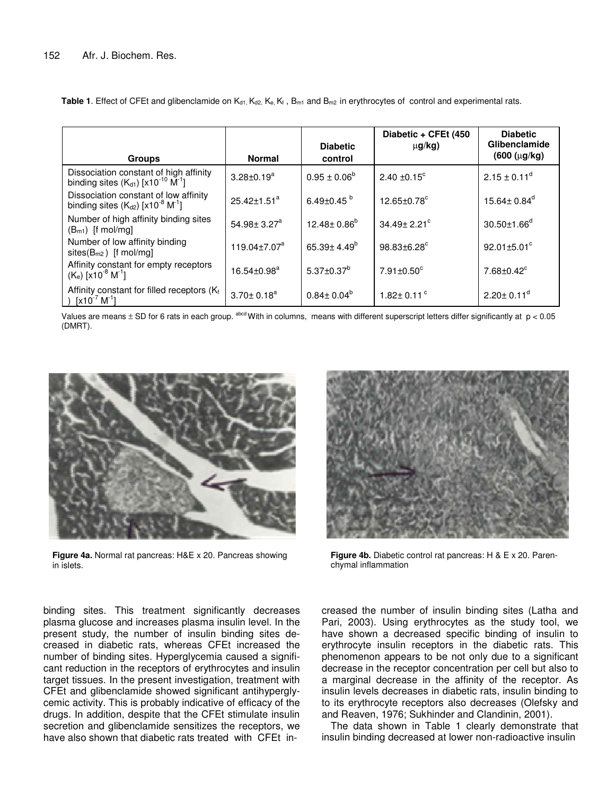| <b>Groups</b>                                                                                            | <b>Normal</b>                 | <b>Diabetic</b><br>control    | Diabetic + CFEt (450<br>$\mu$ g/kg) | <b>Diabetic</b><br>Glibenclamide<br>$(600 (\mu g/kg))$ |
|----------------------------------------------------------------------------------------------------------|-------------------------------|-------------------------------|-------------------------------------|--------------------------------------------------------|
| Dissociation constant of high affinity<br>binding sites $(K_{d1})$ [x10 <sup>-10</sup> M <sup>-1</sup> ] | $3.28 \pm 0.19^a$             | $0.95 \pm 0.06^b$             | $2.40 \pm 0.15$ <sup>c</sup>        | $2.15 \pm 0.11^d$                                      |
| Dissociation constant of low affinity<br>binding sites $(K_{d2})$ [x10 <sup>-8</sup> M <sup>-1</sup> ]   | $25.42 + 1.51^a$              | 6.49 $\pm$ 0.45 $^{\circ}$    | $12.65 \pm 0.78$ <sup>c</sup>       | 15.64 $\pm$ 0.84 $^{\circ}$                            |
| Number of high affinity binding sites<br>$(B_{m1})$ [f mol/mg]                                           | 54.98 $\pm$ 3.27 <sup>a</sup> | $12.48 \pm 0.86^b$            | $34.49 \pm 2.21$ °                  | $30.50 \pm 1.66^{\circ}$                               |
| Number of low affinity binding<br>sites $(B_{m2})$ [f mol/mg]                                            | 119.04 $\pm$ 7.07 $^{\circ}$  | 65.39 $\pm$ 4.49 <sup>b</sup> | 98.83±6.28°                         | 92.01 $\pm$ 5.01 $^{\circ}$                            |
| Affinity constant for empty receptors<br>$(K_e)$ [x10 <sup>-8</sup> M <sup>-1</sup> ]                    | $16.54 \pm 0.98^a$            | $5.37 \pm 0.37^b$             | $7.91 \pm 0.50$ <sup>c</sup>        | $7.68 \pm 0.42^\circ$                                  |
| Affinity constant for filled receptors (Kf)<br>) $[x10^{-7} M^{-1}]$                                     | $3.70 \pm 0.18^a$             | $0.84 \pm 0.04^b$             | 1.82 $\pm$ 0.11 $\degree$           | $2.20 \pm 0.11$ <sup>d</sup>                           |

**Table 1.** Effect of CFEt and glibenclamide on  $K_{d1}$ ,  $K_{d2}$ ,  $K_{e}$ ,  $K_{f}$ ,  $B_{m1}$  and  $B_{m2}$  in erythrocytes of control and experimental rats.

Values are means  $\pm$  SD for 6 rats in each group.  $\mathrm{a}^\mathrm{bod}$  With in columns, means with different superscript letters differ significantly at  $\mathrm{p}$  < 0.05 (DMRT).



**Figure 4a.** Normal rat pancreas: H&E x 20. Pancreas showing in islets.



**Figure 4b.** Diabetic control rat pancreas: H & E x 20. Parenchymal inflammation

binding sites. This treatment significantly decreases plasma glucose and increases plasma insulin level. In the present study, the number of insulin binding sites decreased in diabetic rats, whereas CFEt increased the number of binding sites. Hyperglycemia caused a significant reduction in the receptors of erythrocytes and insulin target tissues. In the present investigation, treatment with CFEt and glibenclamide showed significant antihyperglycemic activity. This is probably indicative of efficacy of the drugs. In addition, despite that the CFEt stimulate insulin secretion and glibenclamide sensitizes the receptors, we have also shown that diabetic rats treated with CFEt increased the number of insulin binding sites (Latha and Pari, 2003). Using erythrocytes as the study tool, we have shown a decreased specific binding of insulin to erythrocyte insulin receptors in the diabetic rats. This phenomenon appears to be not only due to a significant decrease in the receptor concentration per cell but also to a marginal decrease in the affinity of the receptor. As insulin levels decreases in diabetic rats, insulin binding to to its erythrocyte receptors also decreases (Olefsky and and Reaven, 1976; Sukhinder and Clandinin, 2001).

The data shown in Table 1 clearly demonstrate that insulin binding decreased at lower non-radioactive insulin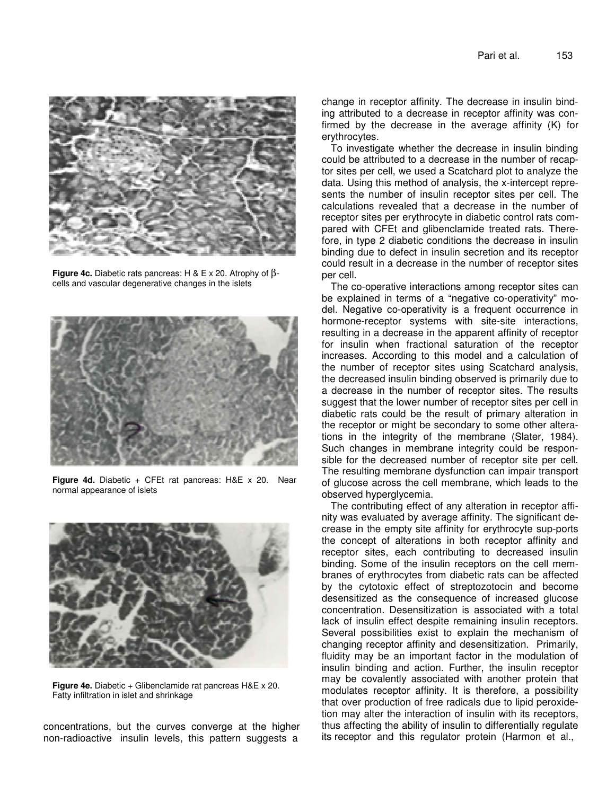

**Figure 4c.** Diabetic rats pancreas: H & E x 20. Atrophy of βcells and vascular degenerative changes in the islets



**Figure 4d.** Diabetic + CFEt rat pancreas: H&E x 20. Near normal appearance of islets



**Figure 4e.** Diabetic + Glibenclamide rat pancreas H&E x 20. Fatty infiltration in islet and shrinkage

concentrations, but the curves converge at the higher non-radioactive insulin levels, this pattern suggests a

change in receptor affinity. The decrease in insulin binding attributed to a decrease in receptor affinity was confirmed by the decrease in the average affinity (K) for erythrocytes.

To investigate whether the decrease in insulin binding could be attributed to a decrease in the number of recaptor sites per cell, we used a Scatchard plot to analyze the data. Using this method of analysis, the x-intercept represents the number of insulin receptor sites per cell. The calculations revealed that a decrease in the number of receptor sites per erythrocyte in diabetic control rats compared with CFEt and glibenclamide treated rats. Therefore, in type 2 diabetic conditions the decrease in insulin binding due to defect in insulin secretion and its receptor could result in a decrease in the number of receptor sites per cell.

The co-operative interactions among receptor sites can be explained in terms of a "negative co-operativity" model. Negative co-operativity is a frequent occurrence in hormone-receptor systems with site-site interactions, resulting in a decrease in the apparent affinity of receptor for insulin when fractional saturation of the receptor increases. According to this model and a calculation of the number of receptor sites using Scatchard analysis, the decreased insulin binding observed is primarily due to a decrease in the number of receptor sites. The results suggest that the lower number of receptor sites per cell in diabetic rats could be the result of primary alteration in the receptor or might be secondary to some other alterations in the integrity of the membrane (Slater, 1984). Such changes in membrane integrity could be responsible for the decreased number of receptor site per cell. The resulting membrane dysfunction can impair transport of glucose across the cell membrane, which leads to the observed hyperglycemia.

The contributing effect of any alteration in receptor affinity was evaluated by average affinity. The significant decrease in the empty site affinity for erythrocyte sup-ports the concept of alterations in both receptor affinity and receptor sites, each contributing to decreased insulin binding. Some of the insulin receptors on the cell membranes of erythrocytes from diabetic rats can be affected by the cytotoxic effect of streptozotocin and become desensitized as the consequence of increased glucose concentration. Desensitization is associated with a total lack of insulin effect despite remaining insulin receptors. Several possibilities exist to explain the mechanism of changing receptor affinity and desensitization. Primarily, fluidity may be an important factor in the modulation of insulin binding and action. Further, the insulin receptor may be covalently associated with another protein that modulates receptor affinity. It is therefore, a possibility that over production of free radicals due to lipid peroxidetion may alter the interaction of insulin with its receptors, thus affecting the ability of insulin to differentially regulate its receptor and this regulator protein (Harmon et al.,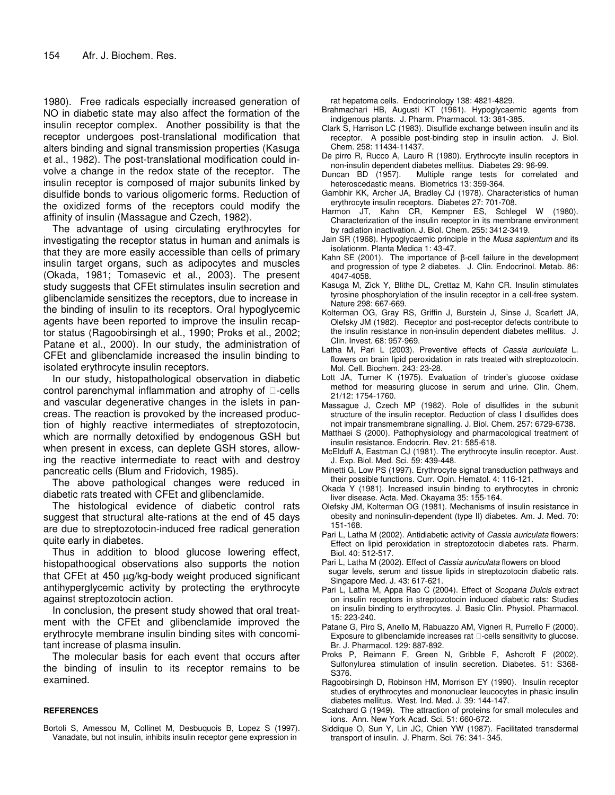1980). Free radicals especially increased generation of NO in diabetic state may also affect the formation of the insulin receptor complex. Another possibility is that the receptor undergoes post-translational modification that alters binding and signal transmission properties (Kasuga et al., 1982). The post-translational modification could involve a change in the redox state of the receptor. The insulin receptor is composed of major subunits linked by disulfide bonds to various oligomeric forms. Reduction of the oxidized forms of the receptors could modify the affinity of insulin (Massague and Czech, 1982).

The advantage of using circulating erythrocytes for investigating the receptor status in human and animals is that they are more easily accessible than cells of primary insulin target organs, such as adipocytes and muscles (Okada, 1981; Tomasevic et al., 2003). The present study suggests that CFEt stimulates insulin secretion and glibenclamide sensitizes the receptors, due to increase in the binding of insulin to its receptors. Oral hypoglycemic agents have been reported to improve the insulin recaptor status (Ragoobirsingh et al., 1990; Proks et al., 2002; Patane et al., 2000). In our study, the administration of CFEt and glibenclamide increased the insulin binding to isolated erythrocyte insulin receptors.

In our study, histopathological observation in diabetic control parenchymal inflammation and atrophy of -cells and vascular degenerative changes in the islets in pancreas. The reaction is provoked by the increased production of highly reactive intermediates of streptozotocin, which are normally detoxified by endogenous GSH but when present in excess, can deplete GSH stores, allowing the reactive intermediate to react with and destroy pancreatic cells (Blum and Fridovich, 1985).

The above pathological changes were reduced in diabetic rats treated with CFEt and glibenclamide.

The histological evidence of diabetic control rats suggest that structural alte-rations at the end of 45 days are due to streptozotocin-induced free radical generation quite early in diabetes.

Thus in addition to blood glucose lowering effect, histopathoogical observations also supports the notion that CFEt at 450 µg/kg-body weight produced significant antihyperglycemic activity by protecting the erythrocyte against streptozotocin action.

In conclusion, the present study showed that oral treatment with the CFEt and glibenclamide improved the erythrocyte membrane insulin binding sites with concomitant increase of plasma insulin.

The molecular basis for each event that occurs after the binding of insulin to its receptor remains to be examined.

## **REFERENCES**

Bortoli S, Amessou M, Collinet M, Desbuquois B, Lopez S (1997). Vanadate, but not insulin, inhibits insulin receptor gene expression in

rat hepatoma cells. Endocrinology 138: 4821-4829.

- Brahmachari HB, Augusti KT (1961). Hypoglycaemic agents from indigenous plants. J. Pharm. Pharmacol. 13: 381-385.
- Clark S, Harrison LC (1983). Disulfide exchange between insulin and its receptor. A possible post-binding step in insulin action. J. Biol. Chem. 258: 11434-11437.
- De pirro R, Rucco A, Lauro R (1980). Erythrocyte insulin receptors in non-insulin dependent diabetes mellitus. Diabetes 29: 96-99.
- Duncan BD (1957). Multiple range tests for correlated and heteroscedastic means. Biometrics 13: 359-364.
- Gambhir KK, Archer JA, Bradley CJ (1978). Characteristics of human erythrocyte insulin receptors. Diabetes 27: 701-708.
- Harmon JT, Kahn CR, Kempner ES, Schlegel W (1980). Characterization of the insulin receptor in its membrane environment by radiation inactivation. J. Biol. Chem. 255: 3412-3419.
- Jain SR (1968). Hypoglycaemic principle in the *Musa sapientum* and its isolationm. Planta Medica 1: 43-47.
- Kahn SE (2001). The importance of  $\beta$ -cell failure in the development and progression of type 2 diabetes. J. Clin. Endocrinol. Metab. 86: 4047-4058.
- Kasuga M, Zick Y, Blithe DL, Crettaz M, Kahn CR. Insulin stimulates tyrosine phosphorylation of the insulin receptor in a cell-free system. Nature 298: 667-669.
- Kolterman OG, Gray RS, Griffin J, Burstein J, Sinse J, Scarlett JA, Olefsky JM (1982). Receptor and post-receptor defects contribute to the insulin resistance in non-insulin dependent diabetes mellitus. J. Clin. Invest. 68: 957-969.
- Latha M, Pari L (2003). Preventive effects of *Cassia auriculata* L. flowers on brain lipid peroxidation in rats treated with streptozotocin. Mol. Cell. Biochem. 243: 23-28.
- Lott JA, Turner K (1975). Evaluation of trinder's glucose oxidase method for measuring glucose in serum and urine. Clin. Chem. 21/12: 1754-1760.
- Massague J, Czech MP (1982). Role of disulfides in the subunit structure of the insulin receptor. Reduction of class I disulfides does not impair transmembrane signalling. J. Biol. Chem. 257: 6729-6738.
- Matthaei S (2000). Pathophysiology and pharmacological treatment of insulin resistance. Endocrin. Rev. 21: 585-618.
- McElduff A, Eastman CJ (1981). The erythrocyte insulin receptor. Aust. J. Exp. Biol. Med. Sci. 59: 439-448.
- Minetti G, Low PS (1997). Erythrocyte signal transduction pathways and their possible functions. Curr. Opin. Hematol. 4: 116-121.
- Okada Y (1981). Increased insulin binding to erythrocytes in chronic liver disease. Acta. Med. Okayama 35: 155-164.
- Olefsky JM, Kolterman OG (1981). Mechanisms of insulin resistance in obesity and noninsulin-dependent (type II) diabetes. Am. J. Med. 70: 151-168.
- Pari L, Latha M (2002). Antidiabetic activity of *Cassia auriculata* flowers: Effect on lipid peroxidation in streptozotocin diabetes rats. Pharm. Biol. 40: 512-517.
- Pari L, Latha M (2002). Effect of *Cassia auriculata* flowers on blood sugar levels, serum and tissue lipids in streptozotocin diabetic rats. Singapore Med. J. 43: 617-621.
- Pari L, Latha M, Appa Rao C (2004). Effect of *Scoparia Dulcis* extract on insulin receptors in streptozotocin induced diabetic rats: Studies on insulin binding to erythrocytes. J. Basic Clin. Physiol. Pharmacol. 15: 223-240.
- Patane G, Piro S, Anello M, Rabuazzo AM, Vigneri R, Purrello F (2000). Exposure to glibenclamide increases rat -cells sensitivity to glucose. Br. J. Pharmacol. 129: 887-892.
- Proks P, Reimann F, Green N, Gribble F, Ashcroft F (2002). Sulfonylurea stimulation of insulin secretion. Diabetes. 51: S368- S376.
- Ragoobirsingh D, Robinson HM, Morrison EY (1990). Insulin receptor studies of erythrocytes and mononuclear leucocytes in phasic insulin diabetes mellitus. West. Ind. Med. J. 39: 144-147.
- Scatchard G (1949). The attraction of proteins for small molecules and ions. Ann. New York Acad. Sci. 51: 660-672.
- Siddique O, Sun Y, Lin JC, Chien YW (1987). Facilitated transdermal transport of insulin. J. Pharm. Sci. 76: 341- 345.